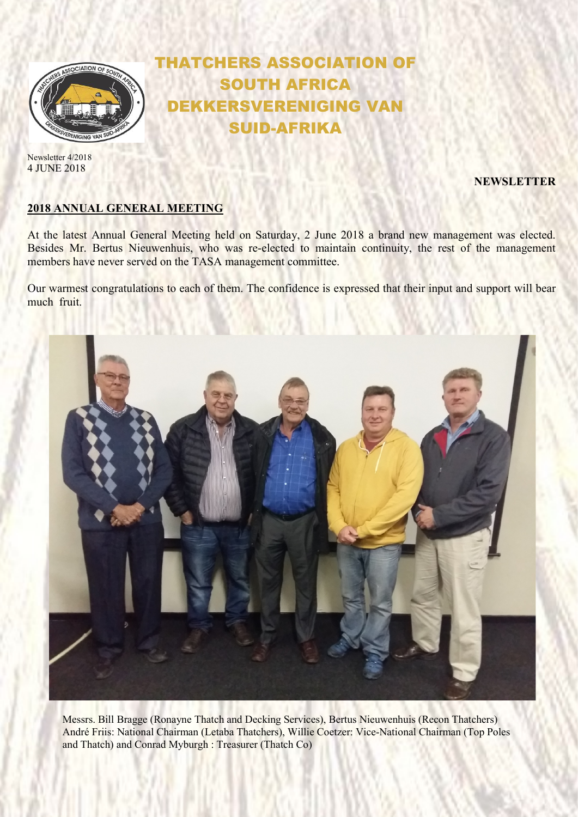

Newsletter 4/2018 4 JUNE 2018

## SOUTH AFRICA EKKERSVERENIGING VAN SUID-AFRIKA

THATCHERS ASSOCIATION OF

NEWSLETTER

## 2018 ANNUAL GENERAL MEETING

At the latest Annual General Meeting held on Saturday, 2 June 2018 a brand new management was elected. Besides Mr. Bertus Nieuwenhuis, who was re-elected to maintain continuity, the rest of the management members have never served on the TASA management committee.

Our warmest congratulations to each of them. The confidence is expressed that their input and support will bear much fruit.



Messrs. Bill Bragge (Ronayne Thatch and Decking Services), Bertus Nieuwenhuis (Recon Thatchers) André Friis: National Chairman (Letaba Thatchers), Willie Coetzer: Vice-National Chairman (Top Poles and Thatch) and Conrad Myburgh : Treasurer (Thatch Co)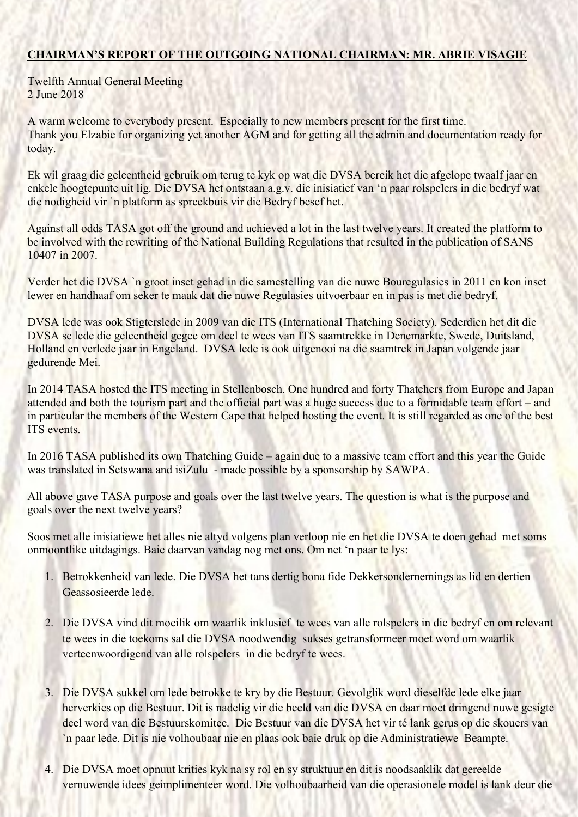## CHAIRMAN'S REPORT OF THE OUTGOING NATIONAL CHAIRMAN: MR. ABRIE VISAGIE

Twelfth Annual General Meeting 2 June 2018

A warm welcome to everybody present. Especially to new members present for the first time. Thank you Elzabie for organizing yet another AGM and for getting all the admin and documentation ready for today.

Ek wil graag die geleentheid gebruik om terug te kyk op wat die DVSA bereik het die afgelope twaalf jaar en enkele hoogtepunte uit lig. Die DVSA het ontstaan a.g.v. die inisiatief van 'n paar rolspelers in die bedryf wat die nodigheid vir `n platform as spreekbuis vir die Bedryf besef het.

Against all odds TASA got off the ground and achieved a lot in the last twelve years. It created the platform to be involved with the rewriting of the National Building Regulations that resulted in the publication of SANS 10407 in 2007.

Verder het die DVSA `n groot inset gehad in die samestelling van die nuwe Bouregulasies in 2011 en kon inset lewer en handhaaf om seker te maak dat die nuwe Regulasies uitvoerbaar en in pas is met die bedryf.

DVSA lede was ook Stigterslede in 2009 van die ITS (International Thatching Society). Sederdien het dit die DVSA se lede die geleentheid gegee om deel te wees van ITS saamtrekke in Denemarkte, Swede, Duitsland, Holland en verlede jaar in Engeland. DVSA lede is ook uitgenooi na die saamtrek in Japan volgende jaar gedurende Mei.

In 2014 TASA hosted the ITS meeting in Stellenbosch. One hundred and forty Thatchers from Europe and Japan attended and both the tourism part and the official part was a huge success due to a formidable team effort – and in particular the members of the Western Cape that helped hosting the event. It is still regarded as one of the best ITS events.

In 2016 TASA published its own Thatching Guide – again due to a massive team effort and this year the Guide was translated in Setswana and isiZulu - made possible by a sponsorship by SAWPA.

All above gave TASA purpose and goals over the last twelve years. The question is what is the purpose and goals over the next twelve years?

Soos met alle inisiatiewe het alles nie altyd volgens plan verloop nie en het die DVSA te doen gehad met soms onmoontlike uitdagings. Baie daarvan vandag nog met ons. Om net 'n paar te lys:

- 1. Betrokkenheid van lede. Die DVSA het tans dertig bona fide Dekkersondernemings as lid en dertien Geassosieerde lede.
- 2. Die DVSA vind dit moeilik om waarlik inklusief te wees van alle rolspelers in die bedryf en om relevant te wees in die toekoms sal die DVSA noodwendig sukses getransformeer moet word om waarlik verteenwoordigend van alle rolspelers in die bedryf te wees.
- 3. Die DVSA sukkel om lede betrokke te kry by die Bestuur. Gevolglik word dieselfde lede elke jaar herverkies op die Bestuur. Dit is nadelig vir die beeld van die DVSA en daar moet dringend nuwe gesigte deel word van die Bestuurskomitee. Die Bestuur van die DVSA het vir té lank gerus op die skouers van `n paar lede. Dit is nie volhoubaar nie en plaas ook baie druk op die Administratiewe Beampte.
- 4. Die DVSA moet opnuut krities kyk na sy rol en sy struktuur en dit is noodsaaklik dat gereelde vernuwende idees geimplimenteer word. Die volhoubaarheid van die operasionele model is lank deur die